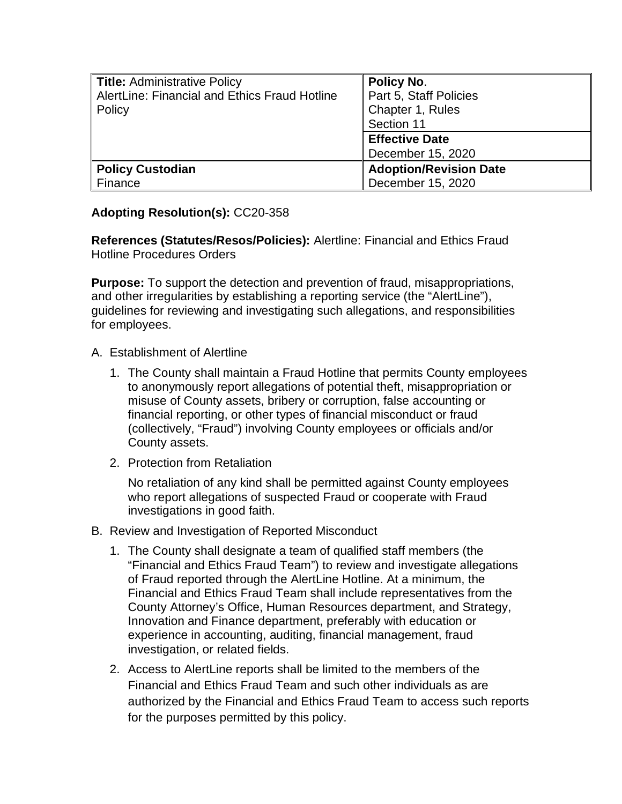| <b>Title: Administrative Policy</b>           | Policy No.                    |
|-----------------------------------------------|-------------------------------|
| AlertLine: Financial and Ethics Fraud Hotline | Part 5, Staff Policies        |
| Policy                                        | Chapter 1, Rules              |
|                                               | Section 11                    |
|                                               | <b>Effective Date</b>         |
|                                               | December 15, 2020             |
| <b>Policy Custodian</b>                       | <b>Adoption/Revision Date</b> |
| Finance                                       | December 15, 2020             |

## **Adopting Resolution(s):** CC20-358

**References (Statutes/Resos/Policies):** Alertline: Financial and Ethics Fraud Hotline Procedures Orders

**Purpose:** To support the detection and prevention of fraud, misappropriations, and other irregularities by establishing a reporting service (the "AlertLine"), guidelines for reviewing and investigating such allegations, and responsibilities for employees.

- A. Establishment of Alertline
	- 1. The County shall maintain a Fraud Hotline that permits County employees to anonymously report allegations of potential theft, misappropriation or misuse of County assets, bribery or corruption, false accounting or financial reporting, or other types of financial misconduct or fraud (collectively, "Fraud") involving County employees or officials and/or County assets.
	- 2. Protection from Retaliation

No retaliation of any kind shall be permitted against County employees who report allegations of suspected Fraud or cooperate with Fraud investigations in good faith.

- B. Review and Investigation of Reported Misconduct
	- 1. The County shall designate a team of qualified staff members (the "Financial and Ethics Fraud Team") to review and investigate allegations of Fraud reported through the AlertLine Hotline. At a minimum, the Financial and Ethics Fraud Team shall include representatives from the County Attorney's Office, Human Resources department, and Strategy, Innovation and Finance department, preferably with education or experience in accounting, auditing, financial management, fraud investigation, or related fields.
	- 2. Access to AlertLine reports shall be limited to the members of the Financial and Ethics Fraud Team and such other individuals as are authorized by the Financial and Ethics Fraud Team to access such reports for the purposes permitted by this policy.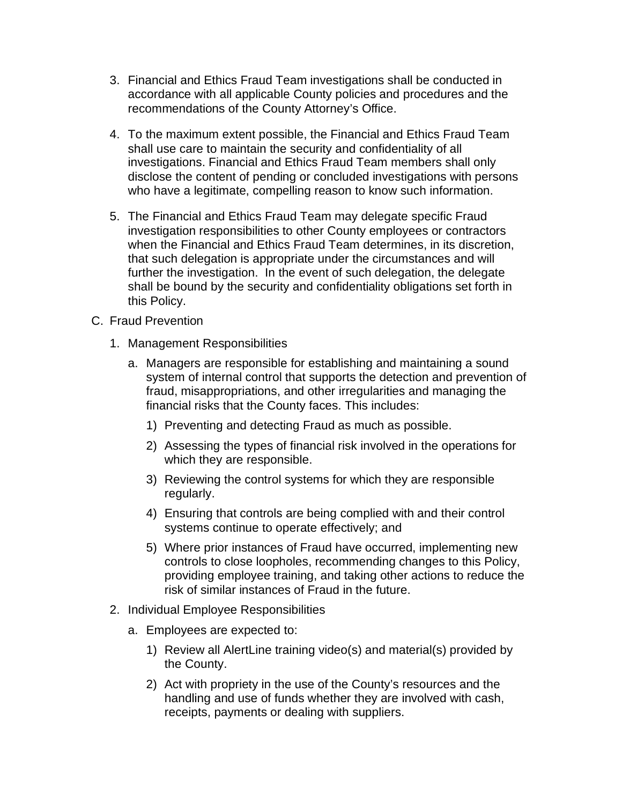- 3. Financial and Ethics Fraud Team investigations shall be conducted in accordance with all applicable County policies and procedures and the recommendations of the County Attorney's Office.
- 4. To the maximum extent possible, the Financial and Ethics Fraud Team shall use care to maintain the security and confidentiality of all investigations. Financial and Ethics Fraud Team members shall only disclose the content of pending or concluded investigations with persons who have a legitimate, compelling reason to know such information.
- 5. The Financial and Ethics Fraud Team may delegate specific Fraud investigation responsibilities to other County employees or contractors when the Financial and Ethics Fraud Team determines, in its discretion, that such delegation is appropriate under the circumstances and will further the investigation. In the event of such delegation, the delegate shall be bound by the security and confidentiality obligations set forth in this Policy.
- C. Fraud Prevention
	- 1. Management Responsibilities
		- a. Managers are responsible for establishing and maintaining a sound system of internal control that supports the detection and prevention of fraud, misappropriations, and other irregularities and managing the financial risks that the County faces. This includes:
			- 1) Preventing and detecting Fraud as much as possible.
			- 2) Assessing the types of financial risk involved in the operations for which they are responsible.
			- 3) Reviewing the control systems for which they are responsible regularly.
			- 4) Ensuring that controls are being complied with and their control systems continue to operate effectively; and
			- 5) Where prior instances of Fraud have occurred, implementing new controls to close loopholes, recommending changes to this Policy, providing employee training, and taking other actions to reduce the risk of similar instances of Fraud in the future.
	- 2. Individual Employee Responsibilities
		- a. Employees are expected to:
			- 1) Review all AlertLine training video(s) and material(s) provided by the County.
			- 2) Act with propriety in the use of the County's resources and the handling and use of funds whether they are involved with cash, receipts, payments or dealing with suppliers.